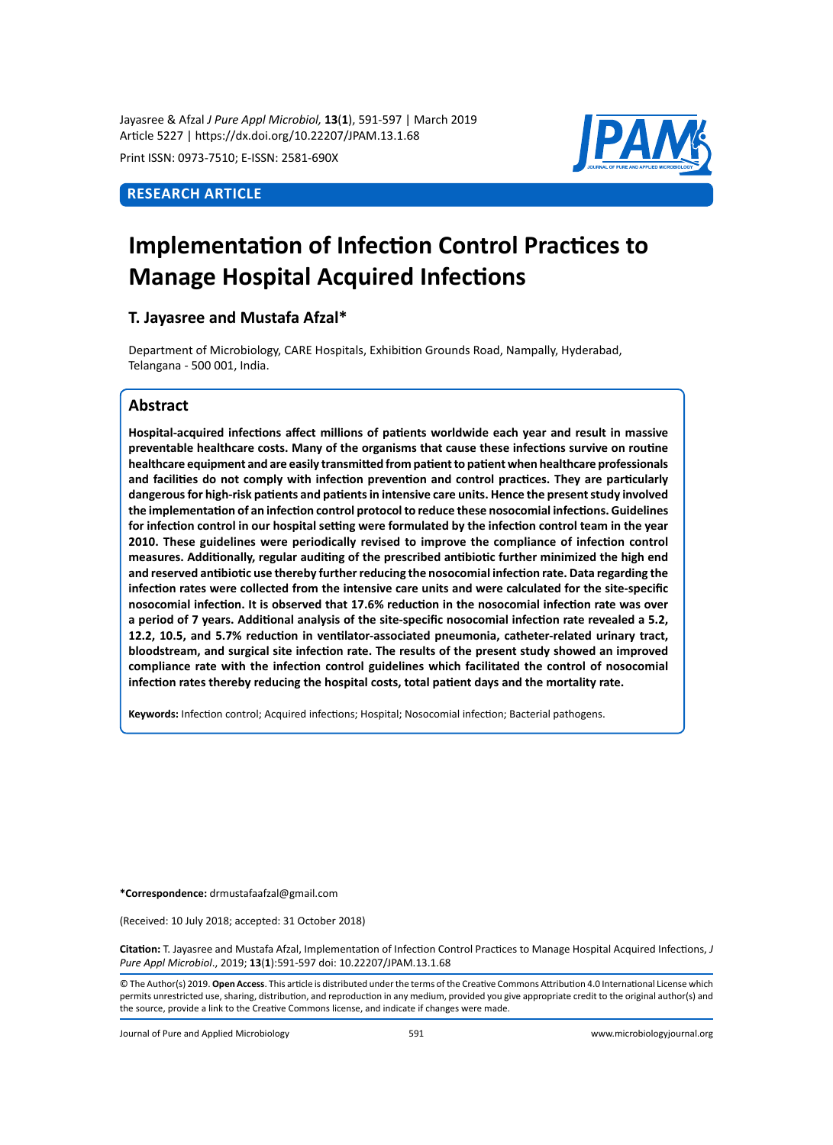Jayasree & Afzal *J Pure Appl Microbiol,* **13**(**1**), 591-597 | March 2019 Article 5227 | https://dx.doi.org/10.22207/JPAM.13.1.68

Print ISSN: 0973-7510; E-ISSN: 2581-690X

# **Research Article**



# **Implementation of Infection Control Practices to Manage Hospital Acquired Infections**

# **T. Jayasree and Mustafa Afzal\***

Department of Microbiology, CARE Hospitals, Exhibition Grounds Road, Nampally, Hyderabad, Telangana - 500 001, India.

## **Abstract**

**Hospital-acquired infections affect millions of patients worldwide each year and result in massive preventable healthcare costs. Many of the organisms that cause these infections survive on routine healthcare equipment and are easily transmitted from patient to patient when healthcare professionals and facilities do not comply with infection prevention and control practices. They are particularly dangerous for high-risk patients and patients in intensive care units. Hence the present study involved the implementation of an infection control protocol to reduce these nosocomial infections. Guidelines for infection control in our hospital setting were formulated by the infection control team in the year 2010. These guidelines were periodically revised to improve the compliance of infection control measures. Additionally, regular auditing of the prescribed antibiotic further minimized the high end and reserved antibiotic use thereby further reducing the nosocomial infection rate. Data regarding the infection rates were collected from the intensive care units and were calculated for the site-specific nosocomial infection. It is observed that 17.6% reduction in the nosocomial infection rate was over a period of 7 years. Additional analysis of the site-specific nosocomial infection rate revealed a 5.2, 12.2, 10.5, and 5.7% reduction in ventilator-associated pneumonia, catheter-related urinary tract, bloodstream, and surgical site infection rate. The results of the present study showed an improved compliance rate with the infection control guidelines which facilitated the control of nosocomial infection rates thereby reducing the hospital costs, total patient days and the mortality rate.** 

**Keywords:** Infection control; Acquired infections; Hospital; Nosocomial infection; Bacterial pathogens.

**\*Correspondence:** drmustafaafzal@gmail.com

(Received: 10 July 2018; accepted: 31 October 2018)

**Citation:** T. Jayasree and Mustafa Afzal, Implementation of Infection Control Practices to Manage Hospital Acquired Infections, *J Pure Appl Microbiol*., 2019; **13**(**1**):591-597 doi: 10.22207/JPAM.13.1.68

© The Author(s) 2019. **Open Access**. This article is distributed under the terms of the Creative Commons Attribution 4.0 International License which permits unrestricted use, sharing, distribution, and reproduction in any medium, provided you give appropriate credit to the original author(s) and the source, provide a link to the Creative Commons license, and indicate if changes were made.

Journal of Pure and Applied Microbiology 591 www.microbiologyjournal.org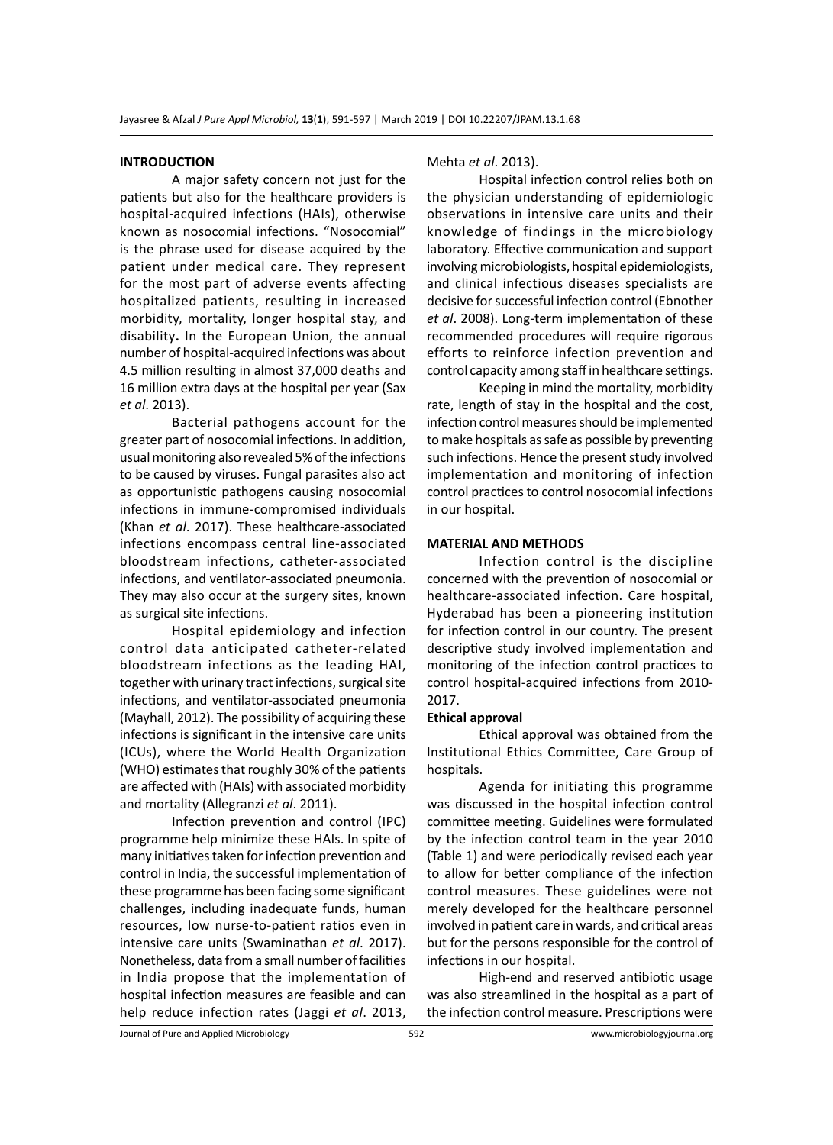#### **INTRODUCTION**

A major safety concern not just for the patients but also for the healthcare providers is hospital-acquired infections (HAIs), otherwise known as nosocomial infections. "Nosocomial" is the phrase used for disease acquired by the patient under medical care. They represent for the most part of adverse events affecting hospitalized patients, resulting in increased morbidity, mortality, longer hospital stay, and disability**.** In the European Union, the annual number of hospital-acquired infections was about 4.5 million resulting in almost 37,000 deaths and 16 million extra days at the hospital per year (Sax *et al*. 2013).

Bacterial pathogens account for the greater part of nosocomial infections. In addition, usual monitoring also revealed 5% of the infections to be caused by viruses. Fungal parasites also act as opportunistic pathogens causing nosocomial infections in immune-compromised individuals (Khan *et al*. 2017). These healthcare-associated infections encompass central line-associated bloodstream infections, catheter-associated infections, and ventilator-associated pneumonia. They may also occur at the surgery sites, known as surgical site infections.

Hospital epidemiology and infection control data anticipated catheter-related bloodstream infections as the leading HAI, together with urinary tract infections, surgical site infections, and ventilator-associated pneumonia (Mayhall, 2012). The possibility of acquiring these infections is significant in the intensive care units (ICUs), where the World Health Organization (WHO) estimates that roughly 30% of the patients are affected with (HAIs) with associated morbidity and mortality (Allegranzi *et al*. 2011).

Infection prevention and control (IPC) programme help minimize these HAIs. In spite of many initiatives taken for infection prevention and control in India, the successful implementation of these programme has been facing some significant challenges, including inadequate funds, human resources, low nurse-to-patient ratios even in intensive care units (Swaminathan *et al*. 2017). Nonetheless, data from a small number of facilities in India propose that the implementation of hospital infection measures are feasible and can help reduce infection rates (Jaggi *et al*. 2013,

#### Mehta *et al*. 2013).

Hospital infection control relies both on the physician understanding of epidemiologic observations in intensive care units and their knowledge of findings in the microbiology laboratory. Effective communication and support involving microbiologists, hospital epidemiologists, and clinical infectious diseases specialists are decisive for successful infection control (Ebnother *et al*. 2008). Long-term implementation of these recommended procedures will require rigorous efforts to reinforce infection prevention and control capacity among staff in healthcare settings.

Keeping in mind the mortality, morbidity rate, length of stay in the hospital and the cost, infection control measures should be implemented to make hospitals as safe as possible by preventing such infections. Hence the present study involved implementation and monitoring of infection control practices to control nosocomial infections in our hospital.

#### **MATERIAL AND METHODS**

Infection control is the discipline concerned with the prevention of nosocomial or healthcare-associated infection. Care hospital, Hyderabad has been a pioneering institution for infection control in our country. The present descriptive study involved implementation and monitoring of the infection control practices to control hospital-acquired infections from 2010- 2017.

#### **Ethical approval**

Ethical approval was obtained from the Institutional Ethics Committee, Care Group of hospitals.

Agenda for initiating this programme was discussed in the hospital infection control committee meeting. Guidelines were formulated by the infection control team in the year 2010 (Table 1) and were periodically revised each year to allow for better compliance of the infection control measures. These guidelines were not merely developed for the healthcare personnel involved in patient care in wards, and critical areas but for the persons responsible for the control of infections in our hospital.

High-end and reserved antibiotic usage was also streamlined in the hospital as a part of the infection control measure. Prescriptions were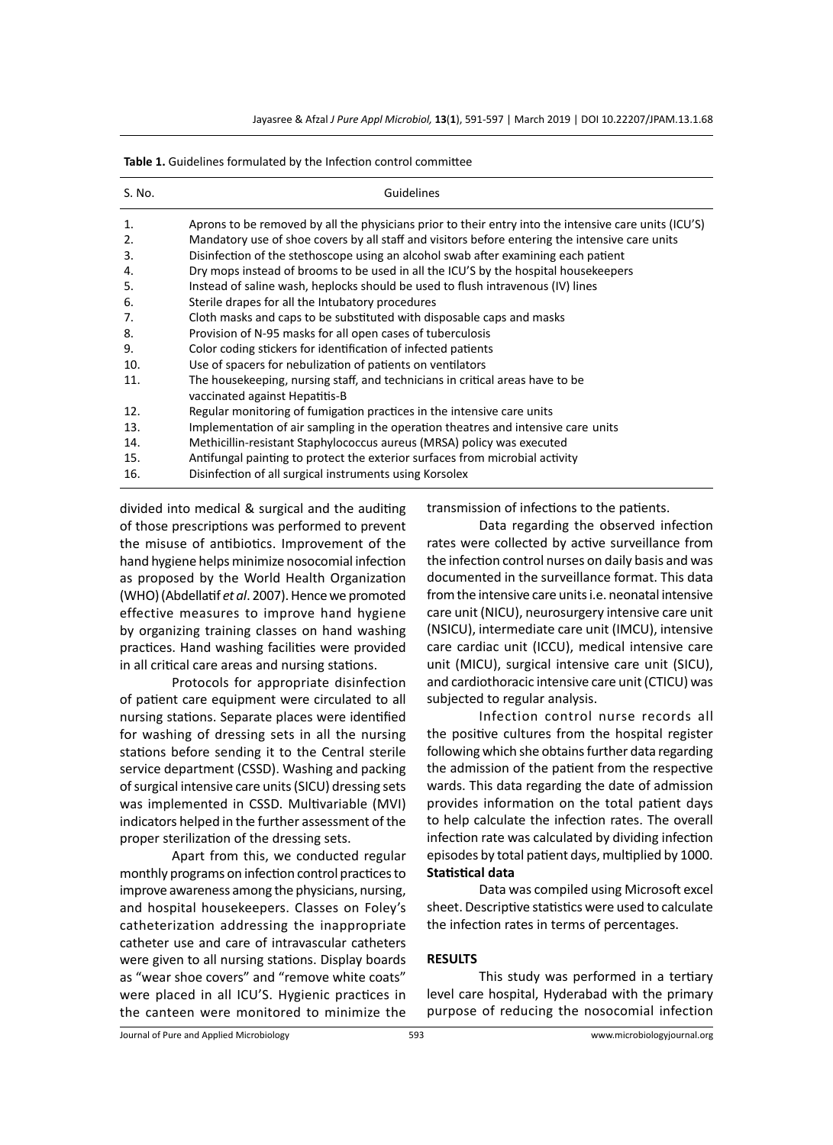Jayasree & Afzal *J Pure Appl Microbiol,* **13**(**1**), 591-597 | March 2019 | DOI 10.22207/JPAM.13.1.68

| S. No. | Guidelines                                                                                                      |
|--------|-----------------------------------------------------------------------------------------------------------------|
| 1.     | Aprons to be removed by all the physicians prior to their entry into the intensive care units (ICU'S)           |
| 2.     | Mandatory use of shoe covers by all staff and visitors before entering the intensive care units                 |
| 3.     | Disinfection of the stethoscope using an alcohol swab after examining each patient                              |
| 4.     | Dry mops instead of brooms to be used in all the ICU'S by the hospital housekeepers                             |
| 5.     | Instead of saline wash, heplocks should be used to flush intravenous (IV) lines                                 |
| 6.     | Sterile drapes for all the Intubatory procedures                                                                |
| 7.     | Cloth masks and caps to be substituted with disposable caps and masks                                           |
| 8.     | Provision of N-95 masks for all open cases of tuberculosis                                                      |
| 9.     | Color coding stickers for identification of infected patients                                                   |
| 10.    | Use of spacers for nebulization of patients on ventilators                                                      |
| 11.    | The housekeeping, nursing staff, and technicians in critical areas have to be<br>vaccinated against Hepatitis-B |
| 12.    | Regular monitoring of fumigation practices in the intensive care units                                          |
| 13.    | Implementation of air sampling in the operation theatres and intensive care units                               |
| 14.    | Methicillin-resistant Staphylococcus aureus (MRSA) policy was executed                                          |
| 15.    | Antifungal painting to protect the exterior surfaces from microbial activity                                    |
| 16.    | Disinfection of all surgical instruments using Korsolex                                                         |

**Table 1.** Guidelines formulated by the Infection control committee

divided into medical & surgical and the auditing of those prescriptions was performed to prevent the misuse of antibiotics. Improvement of the hand hygiene helps minimize nosocomial infection as proposed by the World Health Organization (WHO) (Abdellatif *et al*. 2007). Hence we promoted effective measures to improve hand hygiene by organizing training classes on hand washing practices. Hand washing facilities were provided in all critical care areas and nursing stations.

Protocols for appropriate disinfection of patient care equipment were circulated to all nursing stations. Separate places were identified for washing of dressing sets in all the nursing stations before sending it to the Central sterile service department (CSSD). Washing and packing of surgical intensive care units (SICU) dressing sets was implemented in CSSD. Multivariable (MVI) indicators helped in the further assessment of the proper sterilization of the dressing sets.

Apart from this, we conducted regular monthly programs on infection control practices to improve awareness among the physicians, nursing, and hospital housekeepers. Classes on Foley's catheterization addressing the inappropriate catheter use and care of intravascular catheters were given to all nursing stations. Display boards as "wear shoe covers" and "remove white coats" were placed in all ICU'S. Hygienic practices in the canteen were monitored to minimize the transmission of infections to the patients.

Data regarding the observed infection rates were collected by active surveillance from the infection control nurses on daily basis and was documented in the surveillance format. This data from the intensive care units i.e. neonatal intensive care unit (NICU), neurosurgery intensive care unit (NSICU), intermediate care unit (IMCU), intensive care cardiac unit (ICCU), medical intensive care unit (MICU), surgical intensive care unit (SICU), and cardiothoracic intensive care unit (CTICU) was subjected to regular analysis.

Infection control nurse records all the positive cultures from the hospital register following which she obtains further data regarding the admission of the patient from the respective wards. This data regarding the date of admission provides information on the total patient days to help calculate the infection rates. The overall infection rate was calculated by dividing infection episodes by total patient days, multiplied by 1000. **Statistical data**

Data was compiled using Microsoft excel sheet. Descriptive statistics were used to calculate the infection rates in terms of percentages.

## **RESULTS**

This study was performed in a tertiary level care hospital, Hyderabad with the primary purpose of reducing the nosocomial infection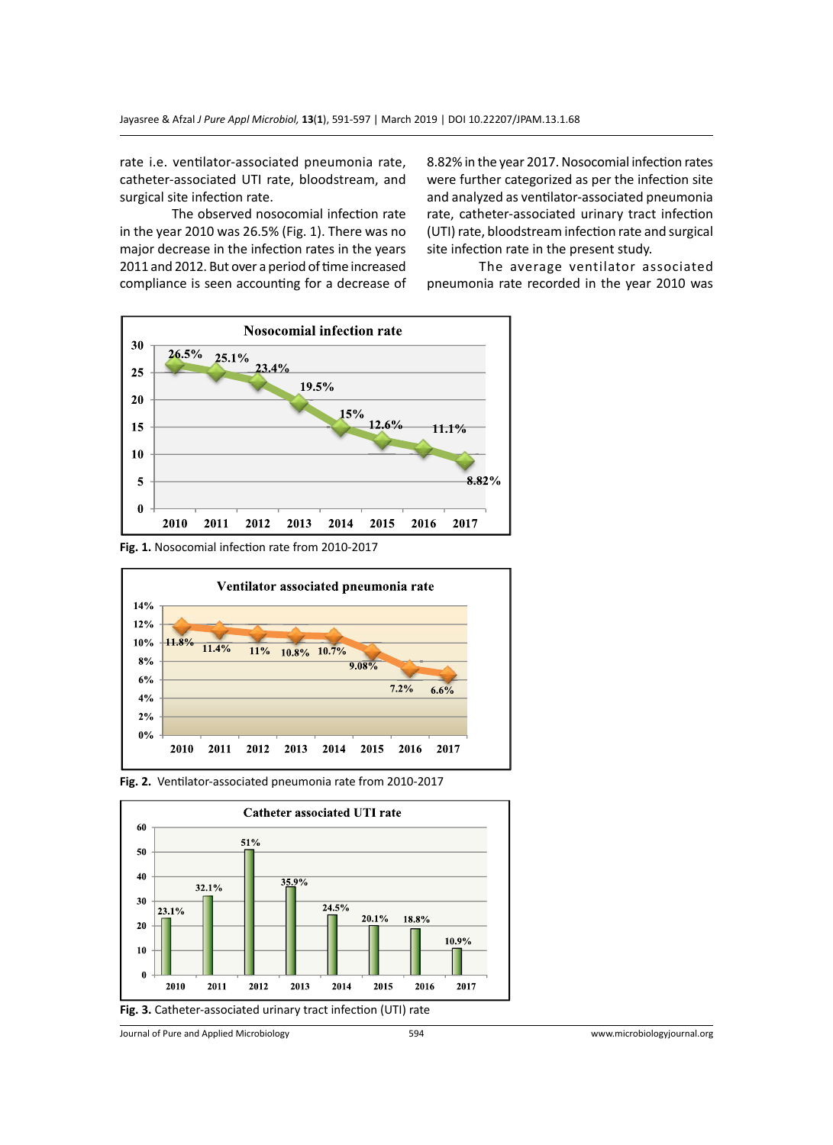rate i.e. ventilator-associated pneumonia rate, catheter-associated UTI rate, bloodstream, and surgical site infection rate.

The observed nosocomial infection rate in the year 2010 was 26.5% (Fig. 1). There was no major decrease in the infection rates in the years 2011 and 2012. But over a period of time increased compliance is seen accounting for a decrease of 8.82% in the year 2017. Nosocomial infection rates were further categorized as per the infection site and analyzed as ventilator-associated pneumonia rate, catheter-associated urinary tract infection (UTI) rate, bloodstream infection rate and surgical site infection rate in the present study.

The average ventilator associated pneumonia rate recorded in the year 2010 was



**Fig. 1.** Nosocomial infection rate from 2010-2017







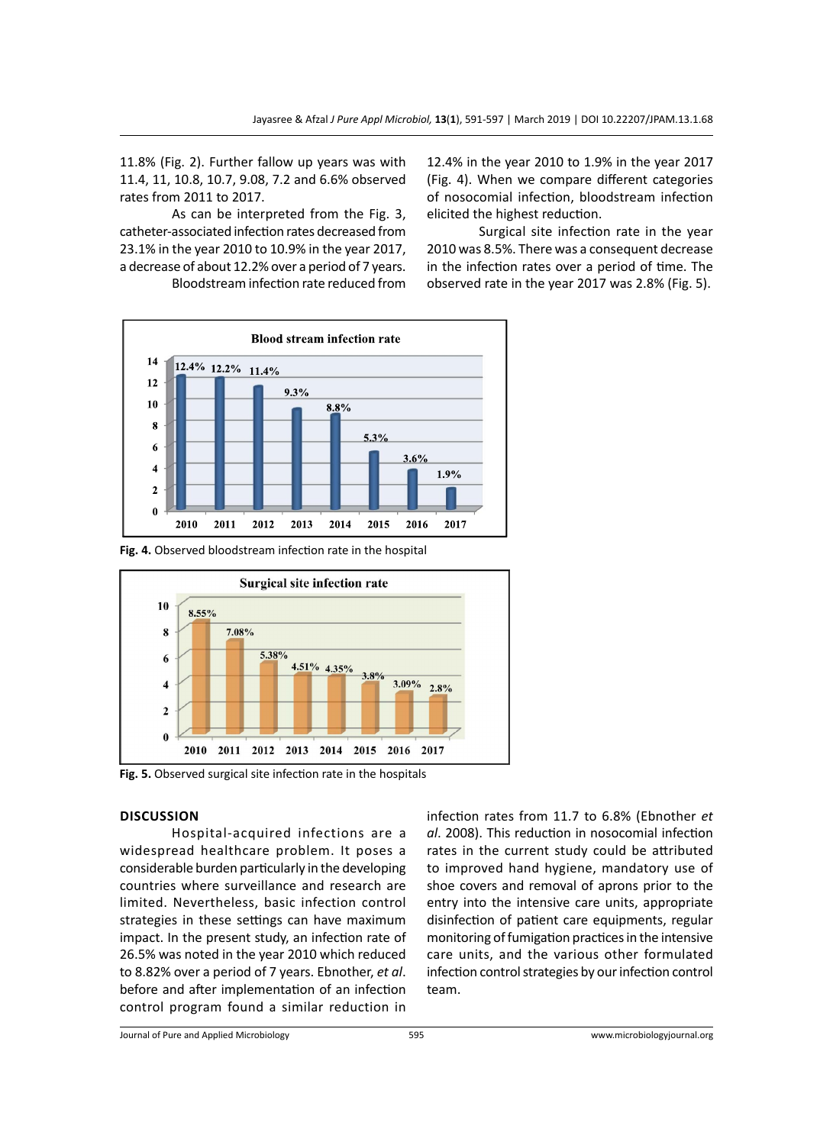11.8% (Fig. 2). Further fallow up years was with 11.4, 11, 10.8, 10.7, 9.08, 7.2 and 6.6% observed rates from 2011 to 2017.

As can be interpreted from the Fig. 3, catheter-associated infection rates decreased from 23.1% in the year 2010 to 10.9% in the year 2017, a decrease of about 12.2% over a period of 7 years.

Bloodstream infection rate reduced from

12.4% in the year 2010 to 1.9% in the year 2017 (Fig. 4). When we compare different categories of nosocomial infection, bloodstream infection elicited the highest reduction.

Surgical site infection rate in the year 2010 was 8.5%. There was a consequent decrease in the infection rates over a period of time. The observed rate in the year 2017 was 2.8% (Fig. 5).



**Fig. 4.** Observed bloodstream infection rate in the hospital



**Fig. 5.** Observed surgical site infection rate in the hospitals

## **Discussion**

Hospital-acquired infections are a widespread healthcare problem. It poses a considerable burden particularly in the developing countries where surveillance and research are limited. Nevertheless, basic infection control strategies in these settings can have maximum impact. In the present study, an infection rate of 26.5% was noted in the year 2010 which reduced to 8.82% over a period of 7 years. Ebnother, *et al*. before and after implementation of an infection control program found a similar reduction in

infection rates from 11.7 to 6.8% (Ebnother *et al*. 2008). This reduction in nosocomial infection rates in the current study could be attributed to improved hand hygiene, mandatory use of shoe covers and removal of aprons prior to the entry into the intensive care units, appropriate disinfection of patient care equipments, regular monitoring of fumigation practices in the intensive care units, and the various other formulated infection control strategies by our infection control team.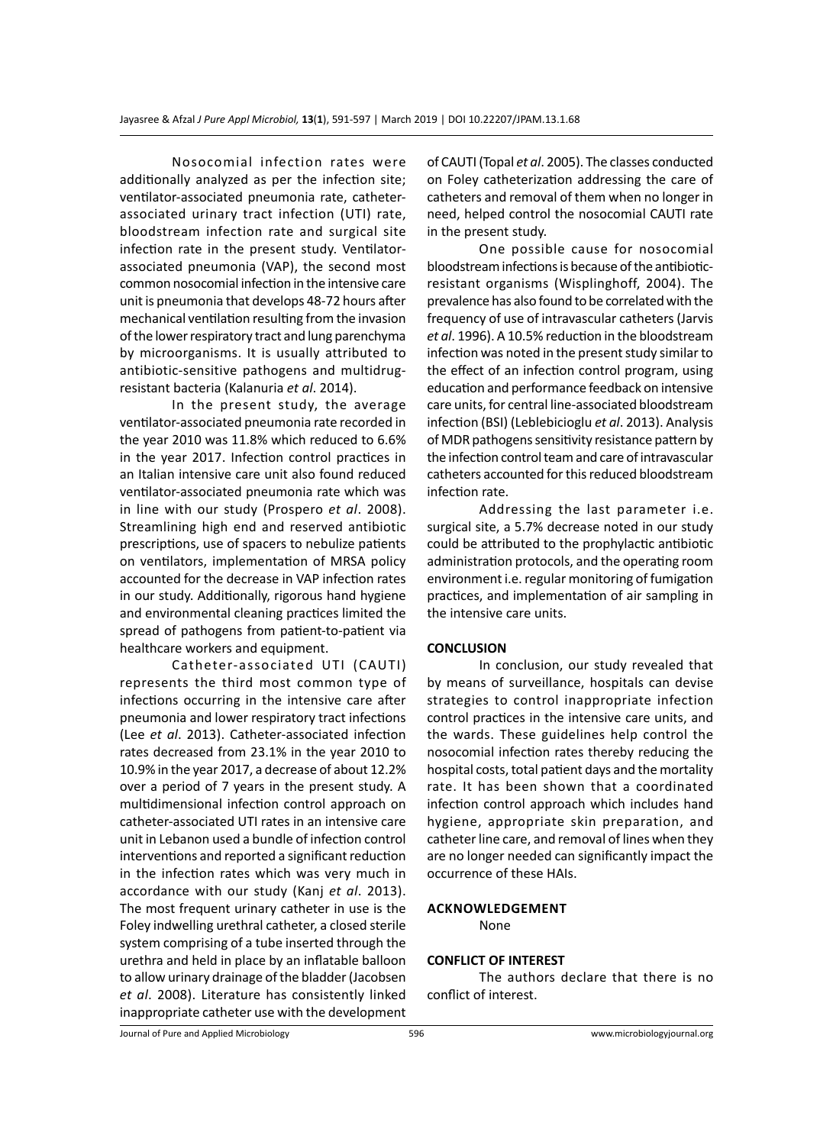Nosocomial infection rates were additionally analyzed as per the infection site; ventilator-associated pneumonia rate, catheterassociated urinary tract infection (UTI) rate, bloodstream infection rate and surgical site infection rate in the present study. Ventilatorassociated pneumonia (VAP), the second most common nosocomial infection in the intensive care unit is pneumonia that develops 48-72 hours after mechanical ventilation resulting from the invasion of the lower respiratory tract and lung parenchyma by microorganisms. It is usually attributed to antibiotic-sensitive pathogens and multidrugresistant bacteria (Kalanuria *et al*. 2014).

In the present study, the average ventilator-associated pneumonia rate recorded in the year 2010 was 11.8% which reduced to 6.6% in the year 2017. Infection control practices in an Italian intensive care unit also found reduced ventilator-associated pneumonia rate which was in line with our study (Prospero *et al*. 2008). Streamlining high end and reserved antibiotic prescriptions, use of spacers to nebulize patients on ventilators, implementation of MRSA policy accounted for the decrease in VAP infection rates in our study. Additionally, rigorous hand hygiene and environmental cleaning practices limited the spread of pathogens from patient-to-patient via healthcare workers and equipment.

Catheter-associated UTI (CAUTI) represents the third most common type of infections occurring in the intensive care after pneumonia and lower respiratory tract infections (Lee *et al*. 2013). Catheter-associated infection rates decreased from 23.1% in the year 2010 to 10.9% in the year 2017, a decrease of about 12.2% over a period of 7 years in the present study. A multidimensional infection control approach on catheter-associated UTI rates in an intensive care unit in Lebanon used a bundle of infection control interventions and reported a significant reduction in the infection rates which was very much in accordance with our study (Kanj *et al*. 2013). The most frequent urinary catheter in use is the Foley indwelling urethral catheter, a closed sterile system comprising of a tube inserted through the urethra and held in place by an inflatable balloon to allow urinary drainage of the bladder (Jacobsen *et al*. 2008). Literature has consistently linked inappropriate catheter use with the development of CAUTI (Topal *et al*. 2005). The classes conducted on Foley catheterization addressing the care of catheters and removal of them when no longer in need, helped control the nosocomial CAUTI rate in the present study.

One possible cause for nosocomial bloodstream infections is because of the antibioticresistant organisms (Wisplinghoff, 2004). The prevalence has also found to be correlated with the frequency of use of intravascular catheters (Jarvis *et al*. 1996). A 10.5% reduction in the bloodstream infection was noted in the present study similar to the effect of an infection control program, using education and performance feedback on intensive care units, for central line-associated bloodstream infection (BSI) (Leblebicioglu *et al*. 2013). Analysis of MDR pathogens sensitivity resistance pattern by the infection control team and care of intravascular catheters accounted for this reduced bloodstream infection rate.

Addressing the last parameter i.e. surgical site, a 5.7% decrease noted in our study could be attributed to the prophylactic antibiotic administration protocols, and the operating room environment i.e. regular monitoring of fumigation practices, and implementation of air sampling in the intensive care units.

## **CONCLUSION**

In conclusion, our study revealed that by means of surveillance, hospitals can devise strategies to control inappropriate infection control practices in the intensive care units, and the wards. These guidelines help control the nosocomial infection rates thereby reducing the hospital costs, total patient days and the mortality rate. It has been shown that a coordinated infection control approach which includes hand hygiene, appropriate skin preparation, and catheter line care, and removal of lines when they are no longer needed can significantly impact the occurrence of these HAIs.

#### **Acknowledgement**

None

## **CONFLICT OF INTEREST**

The authors declare that there is no conflict of interest.